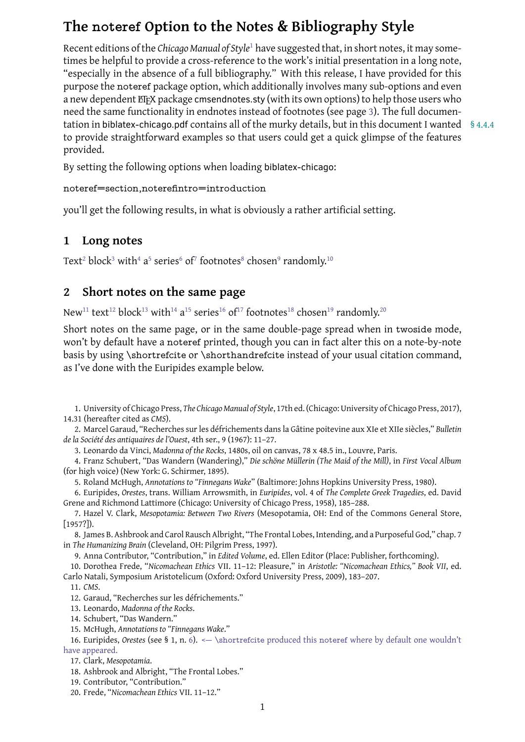<span id="page-0-20"></span>Recent editions of the *Chicago Manual of Style*<sup>1</sup> have suggested that, in short notes, it may sometimes be helpful to provide a cross-reference to the work's initial presentation in a long note, "especially in the absence of a full bibliography." With this release, I have provided for this purpose the noteref package option, which [a](#page-0-0)dditionally involves many sub-options and even a new dependent ET<sub>E</sub>X package cmsendnotes.sty (with its own options) to help those users who need the same functionality in endnotes instead of footnotes (see page 3). The full documentation in biblatex-chicago.pdf contains all of the murky details, but in this document I wanted § 4.4.4 to provide straightforward examples so that users could get a quick glimpse of the features provided.

By setting the following options when loading biblatex-chicago:

#### noteref=section,noterefintro=introduction

you'll get the following results, in what is obviously a rather artificial setting.

### **1 Long notes**

Text $^{\rm 2}$  block $^{\rm 3}$  with $^{\rm 4}$  a $^{\rm 5}$  series $^{\rm 6}$  of $^{\rm 7}$  footnotes $^{\rm 8}$  chosen $^{\rm 9}$  randomly. $^{\rm 10}$ 

## **2 Short not[e](#page-0-3)s [o](#page-0-4)n th[e](#page-0-5)s[a](#page-0-6)me page**

New $^{\rm 11}$  $^{\rm 11}$  $^{\rm 11}$  [te](#page-0-8)xt $^{\rm 12}$  $^{\rm 12}$  $^{\rm 12}$  block $^{\rm 13}$  with $^{\rm 14}$  a $^{\rm 15}$  series $^{\rm 16}$  of $^{\rm 17}$  $^{\rm 17}$  $^{\rm 17}$  footnotes $^{\rm 18}$  chosen $^{\rm 19}$  $^{\rm 19}$  $^{\rm 19}$  randomly. $^{\rm 20}$ 

Short notes on the same page, or in the same double-page spread when in twoside mode, won't by default have a noteref printed, though you can in fact alter this on a note-by-note basi[s b](#page-0-10)y u[sin](#page-0-11)g \s[hor](#page-0-12)tref[cit](#page-0-13)e [o](#page-0-14)r \sh[or](#page-0-15)t[han](#page-0-16)drefcite [in](#page-0-17)stead o[f y](#page-0-18)our usual [ci](#page-0-19)tation command, as I've done with the Euripides example below.

1. University of Chicago Press, *The Chicago Manual of Style*, 17th ed. (Chicago: University of Chicago Press, 2017), 14.31 (hereafter cited as *CMS*).

2. Marcel Garaud, "Recherches sur les défrichements dans la Gâtine poitevine aux XIe et XIIe siècles," *Bulletin de la Société des antiquaires de l'Ouest*, 4th ser., 9 (1967): 11–27.

<span id="page-0-0"></span>3. Leonardo da Vinci, *Madonna of the Rocks*, 1480s, oil on canvas, 78 x 48.5 in., Louvre, Paris.

4. Franz Schubert, "Das Wandern (Wandering)," *Die schöne Müllerin (The Maid of the Mill)*, in *First Vocal Album* (for high voice) (New York: G. Schirmer, 1895).

<span id="page-0-3"></span><span id="page-0-2"></span><span id="page-0-1"></span>5. Roland McHugh, *Annotations to "Finnegans Wake*" (Baltimore: Johns Hopkins University Press, 1980).

6. Euripides, *Orestes*, trans. William Arrowsmith, in *Euripides*, vol. 4 of *The Complete Greek Tragedies*, ed. David Grene and Richmond Lattimore (Chicago: University of Chicago Press, 1958), 185–288.

<span id="page-0-4"></span>7. Hazel V. Clark, *Mesopotamia: Between Two Rivers* (Mesopotamia, OH: End of the Commons General Store, [1957?]).

<span id="page-0-5"></span>8. James B. Ashbrook and Carol Rausch Albright, "The Frontal Lobes, Intending, and a Purposeful God," chap. 7 in *The Humanizing Brain* (Cleveland, OH: Pilgrim Press, 1997).

<span id="page-0-6"></span>9. Anna Contributor, "Contribution," in *Edited Volume*, ed. Ellen Editor (Place: Publisher, forthcoming).

10. Dorothea Frede, "*Nicomachean Ethics* VII. 11–12: Pleasure," in *Aristotle: "Nicomachean Ethics," Book VII*, ed. Carlo Natali, Symposium Aristotelicum (Oxford: Oxford University Press, 2009), 183–207.

<span id="page-0-7"></span>11. *CMS*.

<span id="page-0-8"></span>12. Garaud, "Recherches sur les défrichements."

<span id="page-0-9"></span>13. Leonardo, *Madonna of the Rocks*.

14. Schubert, "Das Wandern."

<span id="page-0-11"></span><span id="page-0-10"></span>15. [McH](#page-0-0)ugh, *Annotations to "Finnegans Wake*."

16. Euripides, *Orestes* [\(see § 1, n.](#page-0-1) 6). <— \shortrefcite produced this noteref where by default one wouldn't have appeared.

<span id="page-0-13"></span><span id="page-0-12"></span>17. Clark, *Mes[opotamia](#page-0-3)*.

<span id="page-0-14"></span>18. Ashbrook and Albright, ["The Frontal Lo](#page-0-4)bes."

<span id="page-0-15"></span>19. Contributor, ["Con](#page-0-5)tribution."

<span id="page-0-19"></span><span id="page-0-18"></span><span id="page-0-17"></span><span id="page-0-16"></span>20. Frede, "*Nicomachean Ethics* VI[I.](#page-0-5) 11–12."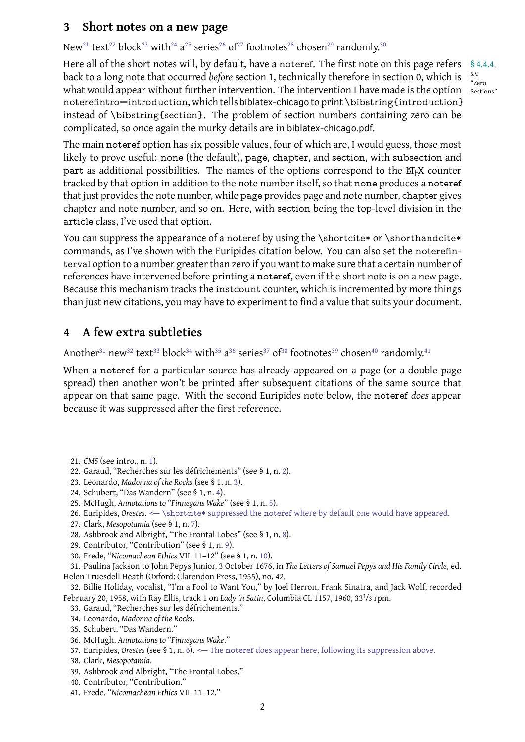New<sup>21</sup> text<sup>22</sup> block<sup>23</sup> with<sup>24</sup> a<sup>23</sup> series<sup>20</sup> of<sup>27</sup> footnotes<sup>26</sup> chosen<sup>29</sup> randomly.<sup>30</sup>

Here all of the short notes will, by default, have a noteref. The first note on this page refers §4.4.4, wha[t w](#page-1-0)oul[d](#page-1-1) appea[r](#page-1-2) with[ou](#page-1-3)t [fu](#page-1-4)rther [in](#page-1-5)te[rv](#page-1-6)ention. T[he](#page-1-7) interv[en](#page-1-8)tion I have [m](#page-1-9)ade is the option sections" back to a long note that occurred *before* section 1, technically therefore in section 0, which is noterefintro=introduction, which tells biblatex-chicago to print \bibstring{introduction} instead of \bibstring{section}. The problem of section numbers containing zero can be complicated, so once again the murky details are in biblatex-chicago.pdf.

s.v. "Zero

The main noteref option has six possible values, four of which are, I would guess, those most likely to prove useful: none (the default), page, chapter, and section, with subsection and part as additional possibilities. The names of the options correspond to the ETFX counter tracked by that option in addition to the note number itself, so that none produces a noteref that just provides the note number, while page provides page and note number, chapter gives chapter and note number, and so on. Here, with section being the top-level division in the article class, I've used that option.

You can suppress the appearance of a noteref by using the \shortcite\* or \shorthandcite\* commands, as I've shown with the Euripides citation below. You can also set the noterefinterval option to a number greater than zero if you want to make sure that a certain number of references have intervened before printing a noteref, even if the short note is on a new page. Because this mechanism tracks the instcount counter, which is incremented by more things than just new citations, you may have to experiment to find a value that suits your document.

# **4 A few extra subtleties**

Another $^{31}$  new $^{32}$  text $^{33}$  block $^{34}$  with $^{35}$  a $^{36}$  series $^{37}$  of $^{38}$  footnotes $^{39}$  chosen $^{40}$  randomly. $^{41}$ 

When a noteref for a particular source has already appeared on a page (or a double-page spread) then another won't be printed after subsequent citations of the same source that appear [on](#page-1-10) tha[t s](#page-1-11)am[e p](#page-1-12)age. [W](#page-1-13)ith t[he](#page-1-14) [se](#page-1-15)cond [Eu](#page-1-16)ri[pid](#page-1-17)es note b[el](#page-1-18)ow, the [n](#page-1-19)oteref *do[es](#page-1-20)* appear because it was suppressed after the first reference.

- 22. Garaud, "Recherches sur les défrichements" (see § 1, n. 2).
- 23. Leonardo, *Madonna of the Rocks* (see § 1, n. 3).
- 24. Schubert, "Das Wandern" (see § 1, n. 4).
- <span id="page-1-0"></span>25. [McH](#page-0-0)ugh, *Annotati[on](#page-0-0)s to "Finnegans Wake*" (see § 1, n. 5).
- <span id="page-1-1"></span>26. Euripides, *Orestes*. <— [\shortcite\\*](#page-0-1) suppressed the note[re](#page-0-1)f where by default one would have appeared.
- <span id="page-1-2"></span>27. Clark, *Mesopotamia* [\(see § 1, n.](#page-0-2) 7).
- <span id="page-1-3"></span>28. Ashbrook [and Albright,](#page-0-3) "The Frontal [L](#page-0-3)ob[es"](#page-0-2) (see § 1, n. 8).
- <span id="page-1-4"></span>29. Contributor, ["Contribution" \(see § 1, n.](#page-0-4) 9).
- <span id="page-1-6"></span><span id="page-1-5"></span>30. Frede, "*Ni[comache](#page-0-5)an Ethics* VII. 11–12" (see § 1, n. 10[\).](#page-0-4)

<span id="page-1-7"></span>31. Paulin[a Jackson to](#page-0-6) John Pepys [J](#page-0-6)unior, 3 October 1676, in *The Letters of Samuel Pepys and His Family Circle*, ed. Helen Truesdell Heath (Oxfor[d: Clarendon Press,](#page-0-7) 1955), no. 4[2.](#page-0-7)

<span id="page-1-8"></span>32. Billie Holida[y, vocalist, "I'm](#page-0-8) a Fool to [Wa](#page-0-8)nt You," by Joel Herron, Frank Sinatra, and Jack Wolf, recorded February 20[, 1958, with Ray Ellis, track 1 on](#page-0-9) *Lady in Satin*[, C](#page-0-9)olumbia CL 1157, 1960, 331/3 rpm.

- <span id="page-1-10"></span><span id="page-1-9"></span>33. Garaud, "Recherches sur les défrichements."
- 34. Leonardo, *Madonna of the Rocks*.
- <span id="page-1-11"></span>35. Schubert, "Das Wandern."
- 36. McHugh, *Annotations to "Finnegans Wake*."
- <span id="page-1-12"></span>37. Euripides, *Orestes* [\(see § 1, n.](#page-0-1) 6). <— The noteref does appear here, following its suppression above.
- <span id="page-1-13"></span>38. Clark, *Mes[opotamia](#page-0-2)*.
- <span id="page-1-14"></span>39. Ashbrook [and Albright,](#page-0-3) "The Frontal Lobes."
- <span id="page-1-15"></span>40. Contributor, ["Contribution."](#page-0-4)
- <span id="page-1-20"></span><span id="page-1-19"></span><span id="page-1-18"></span><span id="page-1-17"></span><span id="page-1-16"></span>41. Frede, "*Ni[comache](#page-0-5)an Ethics* V[II.](#page-0-5) 11–12."

<sup>21.</sup> *CMS* (see intro., n. 1).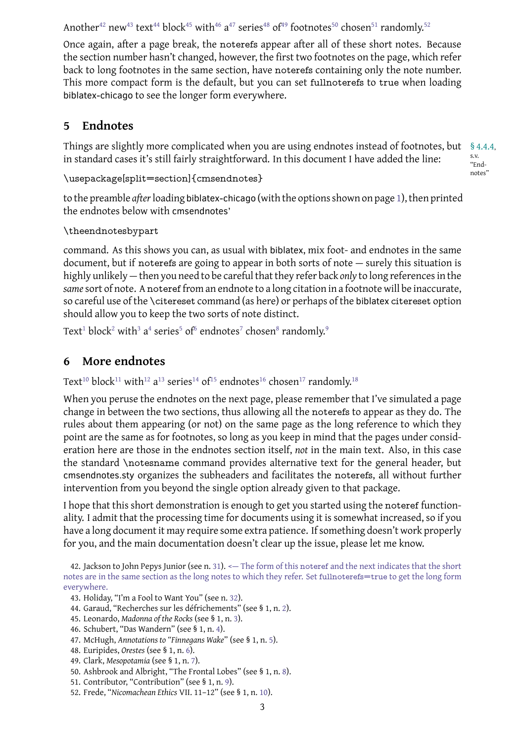Once again, after a page break, the noterefs appear after all of these short notes. Because the section number hasn't changed, however, the first two footnotes on the page, which refer back to [lon](#page-2-0)g f[oot](#page-2-1)not[es](#page-2-2) in th[e s](#page-2-3)ame [se](#page-2-4)[cti](#page-2-5)on, ha[ve](#page-2-6) [not](#page-2-7)erefs con[ta](#page-2-8)ining o[nl](#page-2-9)y the note [n](#page-2-10)umber. This more compact form is the default, but you can set fullnoterefs to true when loading biblatex-chicago to see the longer form everywhere.

# **5 Endnotes**

Things are slightly more complicated when you are using endnotes instead of footnotes, but §4.4.4, s.v. in standard cases it's still fairly straightforward. In this document I have added the line:

```
\usepackage[split=section]{cmsendnotes}
```
to the preamble *after*loading biblatex-chicago (with the options shown on page 1), then printed the endnotes below with cmsendnotes'

### \theendnotesbypart

command. As this shows you can, as usual with biblatex, mix foot- and endn[ote](#page-0-20)s in the same document, but if noterefs are going to appear in both sorts of note — surely this situation is highly unlikely — then you need to be careful that they refer back *only* to long references in the *same*sort of note. A noteref from an endnote to a long citation in a footnote will be inaccurate, so careful use of the \citereset command (as here) or perhaps of the biblatex citereset option should allow you to keep the two sorts of note distinct.

Text $^1$  block $^2$  with $^3$  a $^4$  series $^5$  of $^6$  endnotes $^7$  chosen $^8$  randomly. $^9$ 

# **6 More endnotes**

<span id="page-2-19"></span><span id="page-2-18"></span><span id="page-2-17"></span><span id="page-2-16"></span><span id="page-2-15"></span><span id="page-2-14"></span><span id="page-2-13"></span><span id="page-2-12"></span><span id="page-2-11"></span>Text $^{\rm 10}$  $^{\rm 10}$  $^{\rm 10}$  bloc[k](#page-3-1) $^{\rm 11}$  wi[th](#page-3-2) $^{\rm 12}$  $^{\rm 12}$  $^{\rm 12}$  a $^{\rm 13}$  se[ri](#page-3-4)es $^{\rm 14}$  $^{\rm 14}$  $^{\rm 14}$  of $^{\rm 15}$  end[no](#page-3-6)tes $^{\rm 16}$  c[ho](#page-3-7)sen $^{\rm 17}$  ran[d](#page-3-8)omly. $^{\rm 18}$ 

<span id="page-2-25"></span><span id="page-2-24"></span><span id="page-2-23"></span><span id="page-2-22"></span><span id="page-2-21"></span><span id="page-2-20"></span>When you peruse the endnotes on the next page, please remember that I've simulated a page change in between the two sections, thus allowing all the noterefs to appear as they do. The rule[s a](#page-3-9)bout [th](#page-3-10)em [ap](#page-3-11)p[ea](#page-3-12)ring([or](#page-3-13) n[ot](#page-3-14)) on the [sam](#page-3-15)e pag[e a](#page-3-16)s the lon[g r](#page-3-17)eference to which they point are the same as for footnotes, so long as you keep in mind that the pages under consideration here are those in the endnotes section itself, *not* in the main text. Also, in this case the standard \notesname command provides alternative text for the general header, but cmsendnotes.sty organizes the subheaders and facilitates the noterefs, all without further intervention from you beyond the single option already given to that package.

I hope that this short demonstration is enough to get you started using the noteref functionality. I admit that the processing time for documents using it is somewhat increased, so if you have a long document it may require some extra patience. If something doesn't work properly for you, and the main documentation doesn't clear up the issue, please let me know.

42. Jackson to John Pepys Junior (see n. 31). <— The form of this noteref and the next indicates that the short notes are in the same section as the long notes to which they refer. Set fullnoterefs=true to get the long form everywhere.

- 43. Holiday, "I'm a Fool to Want You" (see n. 32).
- <span id="page-2-0"></span>44. Garaud, ["Recherches sur les d](#page-1-10)éfrich[em](#page-1-10)ents" (see § 1, n. 2).
- 45. Leonardo, *Madonna of the Rocks* (see § 1, n. 3).
- 46. Schubert, "Das Wandern" (see § 1, n. 4).
- <span id="page-2-1"></span>47. McHugh, *[Annotations to "Finnegan](#page-1-11)s Wake*" [\(se](#page-1-11)e § 1, n. 5).
- <span id="page-2-2"></span>48. Euripides, *Orestes* [\(see § 1, n.](#page-0-1) 6).
- <span id="page-2-3"></span>49. Clark, *Mesopotamia* [\(see § 1, n.](#page-0-2) 7).
- <span id="page-2-4"></span>50. Ashbrook [and Albright,](#page-0-3) "The Frontal [L](#page-0-3)ob[es"](#page-0-2) (see § 1, n. 8).
- <span id="page-2-5"></span>51. Contributor, ["Contribution" \(see § 1, n.](#page-0-4) 9).
- <span id="page-2-10"></span><span id="page-2-9"></span><span id="page-2-8"></span><span id="page-2-7"></span><span id="page-2-6"></span>52. Frede, "*Ni[comache](#page-0-5)an Ethics* V[II.](#page-0-5) 11–12" (see § 1, n. 10[\).](#page-0-4)

"Endnotes"